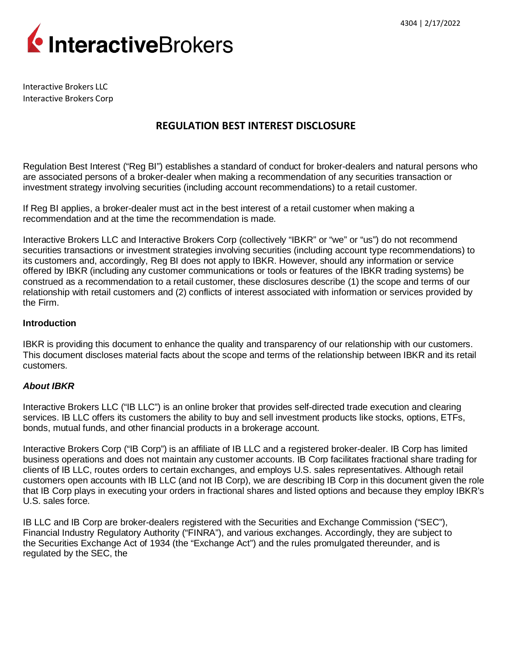

Interactive Brokers LLC Interactive Brokers Corp

# **REGULATION BEST INTEREST DISCLOSURE**

Regulation Best Interest ("Reg BI") establishes a standard of conduct for broker-dealers and natural persons who are associated persons of a broker-dealer when making a recommendation of any securities transaction or investment strategy involving securities (including account recommendations) to a retail customer.

If Reg BI applies, a broker-dealer must act in the best interest of a retail customer when making a recommendation and at the time the recommendation is made.

Interactive Brokers LLC and Interactive Brokers Corp (collectively "IBKR" or "we" or "us") do not recommend securities transactions or investment strategies involving securities (including account type recommendations) to its customers and, accordingly, Reg BI does not apply to IBKR. However, should any information or service offered by IBKR (including any customer communications or tools or features of the IBKR trading systems) be construed as a recommendation to a retail customer, these disclosures describe (1) the scope and terms of our relationship with retail customers and (2) conflicts of interest associated with information or services provided by the Firm.

#### **Introduction**

IBKR is providing this document to enhance the quality and transparency of our relationship with our customers. This document discloses material facts about the scope and terms of the relationship between IBKR and its retail customers.

#### *About IBKR*

Interactive Brokers LLC ("IB LLC") is an online broker that provides self-directed trade execution and clearing services. IB LLC offers its customers the ability to buy and sell investment products like stocks, options, ETFs, bonds, mutual funds, and other financial products in a brokerage account.

Interactive Brokers Corp ("IB Corp") is an affiliate of IB LLC and a registered broker-dealer. IB Corp has limited business operations and does not maintain any customer accounts. IB Corp facilitates fractional share trading for clients of IB LLC, routes orders to certain exchanges, and employs U.S. sales representatives. Although retail customers open accounts with IB LLC (and not IB Corp), we are describing IB Corp in this document given the role that IB Corp plays in executing your orders in fractional shares and listed options and because they employ IBKR's U.S. sales force.

IB LLC and IB Corp are broker-dealers registered with the Securities and Exchange Commission ("SEC"), Financial Industry Regulatory Authority ("FINRA"), and various exchanges. Accordingly, they are subject to the Securities Exchange Act of 1934 (the "Exchange Act") and the rules promulgated thereunder, and is regulated by the SEC, the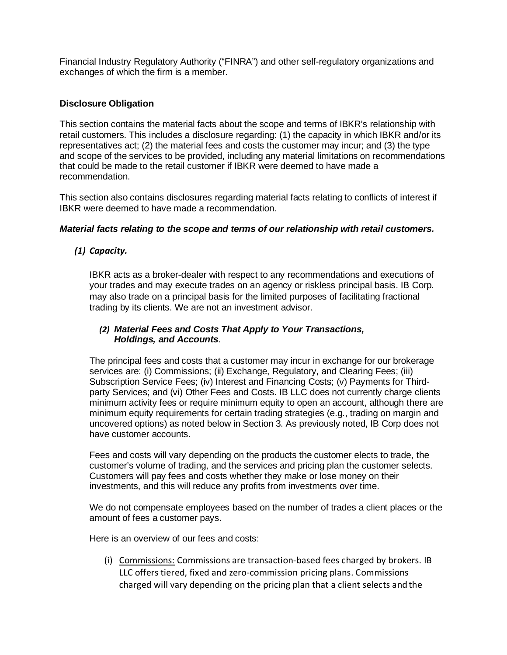Financial Industry Regulatory Authority ("FINRA") and other self-regulatory organizations and exchanges of which the firm is a member.

#### **Disclosure Obligation**

This section contains the material facts about the scope and terms of IBKR's relationship with retail customers. This includes a disclosure regarding: (1) the capacity in which IBKR and/or its representatives act; (2) the material fees and costs the customer may incur; and (3) the type and scope of the services to be provided, including any material limitations on recommendations that could be made to the retail customer if IBKR were deemed to have made a recommendation.

This section also contains disclosures regarding material facts relating to conflicts of interest if IBKR were deemed to have made a recommendation.

### *Material facts relating to the scope and terms of our relationship with retail customers.*

## *(1) Capacity.*

IBKR acts as a broker-dealer with respect to any recommendations and executions of your trades and may execute trades on an agency or riskless principal basis. IB Corp. may also trade on a principal basis for the limited purposes of facilitating fractional trading by its clients. We are not an investment advisor.

#### *(2) Material Fees and Costs That Apply to Your Transactions, Holdings, and Accounts*.

The principal fees and costs that a customer may incur in exchange for our brokerage services are: (i) Commissions; (ii) Exchange, Regulatory, and Clearing Fees; (iii) Subscription Service Fees; (iv) Interest and Financing Costs; (v) Payments for Thirdparty Services; and (vi) Other Fees and Costs. IB LLC does not currently charge clients minimum activity fees or require minimum equity to open an account, although there are minimum equity requirements for certain trading strategies (e.g., trading on margin and uncovered options) as noted below in Section 3. As previously noted, IB Corp does not have customer accounts.

Fees and costs will vary depending on the products the customer elects to trade, the customer's volume of trading, and the services and pricing plan the customer selects. Customers will pay fees and costs whether they make or lose money on their investments, and this will reduce any profits from investments over time.

We do not compensate employees based on the number of trades a client places or the amount of fees a customer pays.

Here is an overview of our fees and costs:

(i) Commissions: Commissions are transaction-based fees charged by brokers. IB LLC offers tiered, fixed and zero-commission pricing plans. Commissions charged will vary depending on the pricing plan that a client selects and the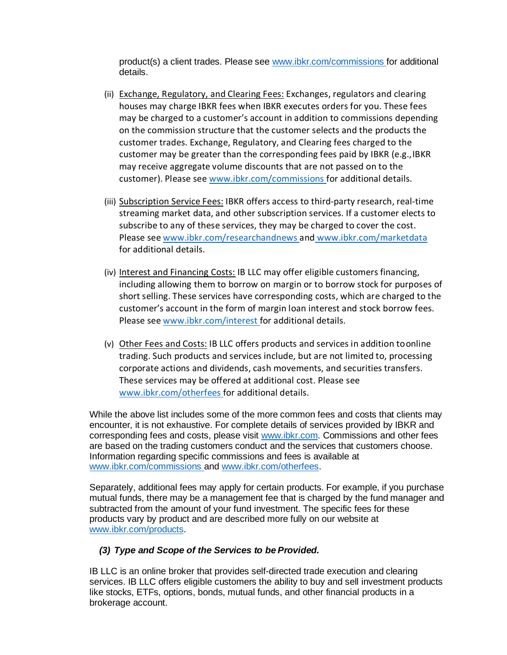product(s) a client trades. Please see [www.ibkr.com/commissions](http://#) for additional details.

- (ii) Exchange, Regulatory, and Clearing Fees: Exchanges, regulators and clearing houses may charge IBKR fees when IBKR executes orders for you. These fees may be charged to a customer's account in addition to commissions depending on the commission structure that the customer selects and the products the customer trades. Exchange, Regulatory, and Clearing fees charged to the customer may be greater than the corresponding fees paid by IBKR (e.g.,IBKR may receive aggregate volume discounts that are not passed on to the customer). Please see [www.ibkr.com/commissions](http://#) for additional details.
- (iii) Subscription Service Fees: IBKR offers access to third-party research, real-time streaming market data, and other subscription services. If a customer elects to subscribe to any of these services, they may be charged to cover the cost. Please see [www.ibkr.com/researchandnews](http://#) and [www.ibkr.com/marketdata](http://#) for additional details.
- (iv) Interest and Financing Costs: IB LLC may offer eligible customers financing, including allowing them to borrow on margin or to borrow stock for purposes of short selling. These services have corresponding costs, which are charged to the customer's account in the form of margin loan interest and stock borrow fees. Please see [www.ibkr.com/interest](http://#) for additional details.
- (v) Other Fees and Costs: IB LLC offers products and services in addition toonline trading. Such products and services include, but are not limited to, processing corporate actions and dividends, cash movements, and securities transfers. These services may be offered at additional cost. Please se[e](http://#) [www.ibkr.com/otherfees](http://#) for additional details.

While the above list includes some of the more common fees and costs that clients may encounter, it is not exhaustive. For complete details of services provided by IBKR and corresponding fees and costs, please visit [www.ibkr.com.](http://#) Commissions and other fees are based on the trading customers conduct and the services that customers choose. Information regarding specific commissions and fees is available at [www.ibkr.com/commissions](http://#) an[d www.ibkr.com/otherfees.](http://#)

Separately, additional fees may apply for certain products. For example, if you purchase mutual funds, there may be a management fee that is charged by the fund manager and subtracted from the amount of your fund investment. The specific fees for these products vary by product and are described more fully on our website at [www.ibkr.com/products.](http://#)

#### *(3) Type and Scope of the Services to be Provided.*

IB LLC is an online broker that provides self-directed trade execution and clearing services. IB LLC offers eligible customers the ability to buy and sell investment products like stocks, ETFs, options, bonds, mutual funds, and other financial products in a brokerage account.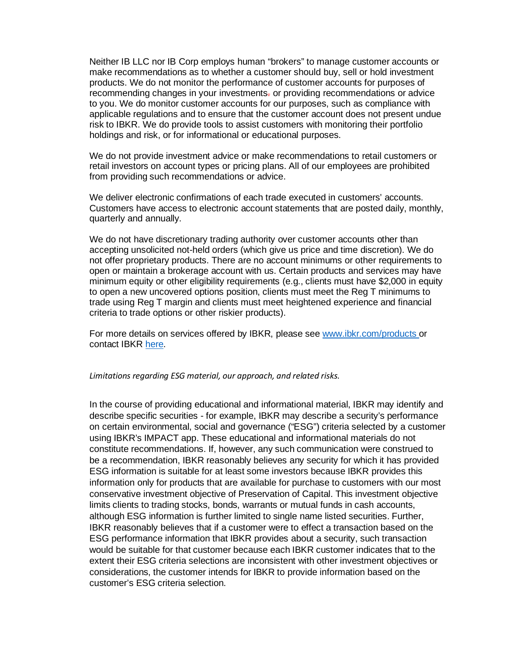Neither IB LLC nor IB Corp employs human "brokers" to manage customer accounts or make recommendations as to whether a customer should buy, sell or hold investment products. We do not monitor the performance of customer accounts for purposes of recommending changes in your investments. or providing recommendations or advice to you. We do monitor customer accounts for our purposes, such as compliance with applicable regulations and to ensure that the customer account does not present undue risk to IBKR. We do provide tools to assist customers with monitoring their portfolio holdings and risk, or for informational or educational purposes.

We do not provide investment advice or make recommendations to retail customers or retail investors on account types or pricing plans. All of our employees are prohibited from providing such recommendations or advice.

We deliver electronic confirmations of each trade executed in customers' accounts. Customers have access to electronic account statements that are posted daily, monthly, quarterly and annually.

We do not have discretionary trading authority over customer accounts other than accepting unsolicited not-held orders (which give us price and time discretion). We do not offer proprietary products. There are no account minimums or other requirements to open or maintain a brokerage account with us. Certain products and services may have minimum equity or other eligibility requirements (e.g., clients must have \$2,000 in equity to open a new uncovered options position, clients must meet the Reg T minimums to trade using Reg T margin and clients must meet heightened experience and financial criteria to trade options or other riskier products).

For more details on services offered by IBKR, please see [www.ibkr.com/products](http://#) or contact IBKR [here.](http://#)

#### *Limitations regarding ESG material, our approach, and related risks.*

In the course of providing educational and informational material, IBKR may identify and describe specific securities - for example, IBKR may describe a security's performance on certain environmental, social and governance ("ESG") criteria selected by a customer using IBKR's IMPACT app. These educational and informational materials do not constitute recommendations. If, however, any such communication were construed to be a recommendation, IBKR reasonably believes any security for which it has provided ESG information is suitable for at least some investors because IBKR provides this information only for products that are available for purchase to customers with our most conservative investment objective of Preservation of Capital. This investment objective limits clients to trading stocks, bonds, warrants or mutual funds in cash accounts, although ESG information is further limited to single name listed securities. Further, IBKR reasonably believes that if a customer were to effect a transaction based on the ESG performance information that IBKR provides about a security, such transaction would be suitable for that customer because each IBKR customer indicates that to the extent their ESG criteria selections are inconsistent with other investment objectives or considerations, the customer intends for IBKR to provide information based on the customer's ESG criteria selection.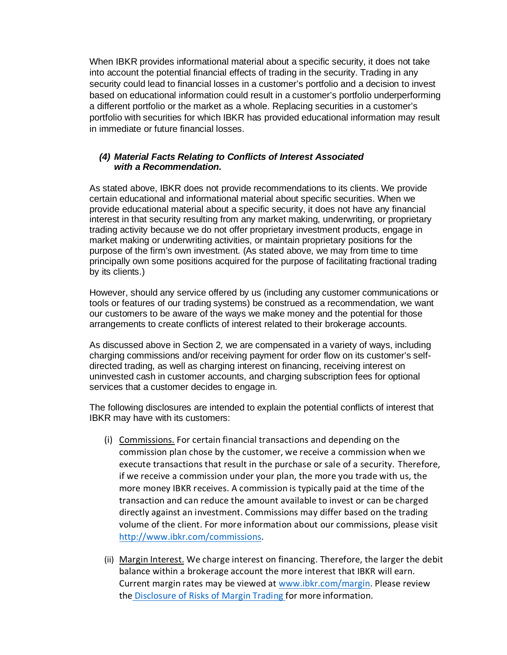When IBKR provides informational material about a specific security, it does not take into account the potential financial effects of trading in the security. Trading in any security could lead to financial losses in a customer's portfolio and a decision to invest based on educational information could result in a customer's portfolio underperforming a different portfolio or the market as a whole. Replacing securities in a customer's portfolio with securities for which IBKR has provided educational information may result in immediate or future financial losses.

#### *(4) Material Facts Relating to Conflicts of Interest Associated with a Recommendation.*

As stated above, IBKR does not provide recommendations to its clients. We provide certain educational and informational material about specific securities. When we provide educational material about a specific security, it does not have any financial interest in that security resulting from any market making, underwriting, or proprietary trading activity because we do not offer proprietary investment products, engage in market making or underwriting activities, or maintain proprietary positions for the purpose of the firm's own investment. (As stated above, we may from time to time principally own some positions acquired for the purpose of facilitating fractional trading by its clients.)

However, should any service offered by us (including any customer communications or tools or features of our trading systems) be construed as a recommendation, we want our customers to be aware of the ways we make money and the potential for those arrangements to create conflicts of interest related to their brokerage accounts.

As discussed above in Section 2, we are compensated in a variety of ways, including charging commissions and/or receiving payment for order flow on its customer's selfdirected trading, as well as charging interest on financing, receiving interest on uninvested cash in customer accounts, and charging subscription fees for optional services that a customer decides to engage in.

The following disclosures are intended to explain the potential conflicts of interest that IBKR may have with its customers:

- (i) Commissions. For certain financial transactions and depending on the commission plan chose by the customer, we receive a commission when we execute transactions that result in the purchase or sale of a security. Therefore, if we receive a commission under your plan, the more you trade with us, the more money IBKR receives. A commission is typically paid at the time of the transaction and can reduce the amount available to invest or can be charged directly against an investment. Commissions may differ based on the trading volume of the client. For more information about our commissions, please visi[t](http://#) [http://www.ibkr.com/commissions.](http://#)
- (ii) Margin Interest. We charge interest on financing. Therefore, the larger the debit balance within a brokerage account the more interest that IBKR will earn. Current margin rates may be viewed at [www.ibkr.com/margin.](http://#) Please review the [Disclosure of Risks of Margin Trading](http://#) for more information.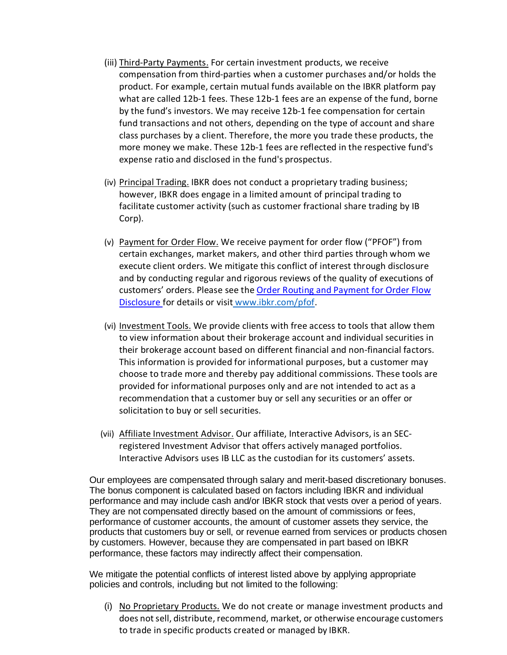- (iii) Third-Party Payments. For certain investment products, we receive compensation from third-parties when a customer purchases and/or holds the product. For example, certain mutual funds available on the IBKR platform pay what are called 12b-1 fees. These 12b-1 fees are an expense of the fund, borne by the fund's investors. We may receive 12b-1 fee compensation for certain fund transactions and not others, depending on the type of account and share class purchases by a client. Therefore, the more you trade these products, the more money we make. These 12b-1 fees are reflected in the respective fund's expense ratio and disclosed in the fund's prospectus.
- (iv) Principal Trading. IBKR does not conduct a proprietary trading business; however, IBKR does engage in a limited amount of principal trading to facilitate customer activity (such as customer fractional share trading by IB Corp).
- (v) Payment for Order Flow. We receive payment for order flow ("PFOF") from certain exchanges, market makers, and other third parties through whom we execute client orders. We mitigate this conflict of interest through disclosure and by conducting regular and rigorous reviews of the quality of executions of customers' orders. Please see the [Order Routing and Payment for Order Flow](http://#) [Disclosure f](http://#)or details or visit [www.ibkr.com/pfof.](http://#)
- (vi) Investment Tools. We provide clients with free access to tools that allow them to view information about their brokerage account and individual securities in their brokerage account based on different financial and non-financial factors. This information is provided for informational purposes, but a customer may choose to trade more and thereby pay additional commissions. These tools are provided for informational purposes only and are not intended to act as a recommendation that a customer buy or sell any securities or an offer or solicitation to buy or sell securities.
- (vii) Affiliate Investment Advisor. Our affiliate, Interactive Advisors, is an SECregistered Investment Advisor that offers actively managed portfolios. Interactive Advisors uses IB LLC as the custodian for its customers' assets.

Our employees are compensated through salary and merit-based discretionary bonuses. The bonus component is calculated based on factors including IBKR and individual performance and may include cash and/or IBKR stock that vests over a period of years. They are not compensated directly based on the amount of commissions or fees, performance of customer accounts, the amount of customer assets they service, the products that customers buy or sell, or revenue earned from services or products chosen by customers. However, because they are compensated in part based on IBKR performance, these factors may indirectly affect their compensation.

We mitigate the potential conflicts of interest listed above by applying appropriate policies and controls, including but not limited to the following:

(i) No Proprietary Products. We do not create or manage investment products and does not sell, distribute, recommend, market, or otherwise encourage customers to trade in specific products created or managed by IBKR.